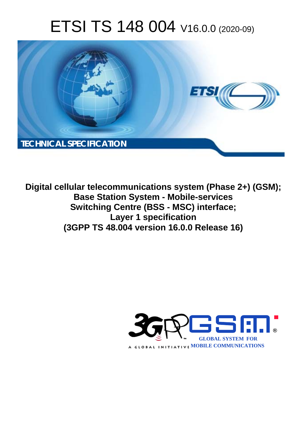# ETSI TS 148 004 V16.0.0 (2020-09)



**Digital cellular telecommunications system (Phase 2+) (GSM); Base Station System - Mobile-services Switching Centre (BSS - MSC) interface; Layer 1 specification (3GPP TS 48.004 version 16.0.0 Release 16)** 

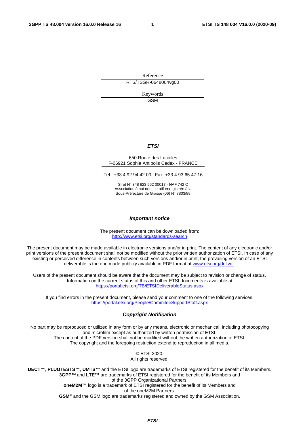Reference RTS/TSGR-0648004vg00

> Keywords GSM

#### *ETSI*

#### 650 Route des Lucioles F-06921 Sophia Antipolis Cedex - FRANCE

Tel.: +33 4 92 94 42 00 Fax: +33 4 93 65 47 16

Siret N° 348 623 562 00017 - NAF 742 C Association à but non lucratif enregistrée à la Sous-Préfecture de Grasse (06) N° 7803/88

#### *Important notice*

The present document can be downloaded from: <http://www.etsi.org/standards-search>

The present document may be made available in electronic versions and/or in print. The content of any electronic and/or print versions of the present document shall not be modified without the prior written authorization of ETSI. In case of any existing or perceived difference in contents between such versions and/or in print, the prevailing version of an ETSI deliverable is the one made publicly available in PDF format at [www.etsi.org/deliver](http://www.etsi.org/deliver).

Users of the present document should be aware that the document may be subject to revision or change of status. Information on the current status of this and other ETSI documents is available at <https://portal.etsi.org/TB/ETSIDeliverableStatus.aspx>

If you find errors in the present document, please send your comment to one of the following services: <https://portal.etsi.org/People/CommiteeSupportStaff.aspx>

#### *Copyright Notification*

No part may be reproduced or utilized in any form or by any means, electronic or mechanical, including photocopying and microfilm except as authorized by written permission of ETSI. The content of the PDF version shall not be modified without the written authorization of ETSI. The copyright and the foregoing restriction extend to reproduction in all media.

> © ETSI 2020. All rights reserved.

**DECT™**, **PLUGTESTS™**, **UMTS™** and the ETSI logo are trademarks of ETSI registered for the benefit of its Members. **3GPP™** and **LTE™** are trademarks of ETSI registered for the benefit of its Members and of the 3GPP Organizational Partners. **oneM2M™** logo is a trademark of ETSI registered for the benefit of its Members and of the oneM2M Partners. **GSM®** and the GSM logo are trademarks registered and owned by the GSM Association.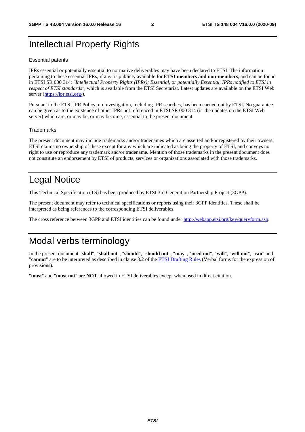### Intellectual Property Rights

#### Essential patents

IPRs essential or potentially essential to normative deliverables may have been declared to ETSI. The information pertaining to these essential IPRs, if any, is publicly available for **ETSI members and non-members**, and can be found in ETSI SR 000 314: *"Intellectual Property Rights (IPRs); Essential, or potentially Essential, IPRs notified to ETSI in respect of ETSI standards"*, which is available from the ETSI Secretariat. Latest updates are available on the ETSI Web server [\(https://ipr.etsi.org/](https://ipr.etsi.org/)).

Pursuant to the ETSI IPR Policy, no investigation, including IPR searches, has been carried out by ETSI. No guarantee can be given as to the existence of other IPRs not referenced in ETSI SR 000 314 (or the updates on the ETSI Web server) which are, or may be, or may become, essential to the present document.

#### **Trademarks**

The present document may include trademarks and/or tradenames which are asserted and/or registered by their owners. ETSI claims no ownership of these except for any which are indicated as being the property of ETSI, and conveys no right to use or reproduce any trademark and/or tradename. Mention of those trademarks in the present document does not constitute an endorsement by ETSI of products, services or organizations associated with those trademarks.

### Legal Notice

This Technical Specification (TS) has been produced by ETSI 3rd Generation Partnership Project (3GPP).

The present document may refer to technical specifications or reports using their 3GPP identities. These shall be interpreted as being references to the corresponding ETSI deliverables.

The cross reference between 3GPP and ETSI identities can be found under<http://webapp.etsi.org/key/queryform.asp>.

### Modal verbs terminology

In the present document "**shall**", "**shall not**", "**should**", "**should not**", "**may**", "**need not**", "**will**", "**will not**", "**can**" and "**cannot**" are to be interpreted as described in clause 3.2 of the [ETSI Drafting Rules](https://portal.etsi.org/Services/editHelp!/Howtostart/ETSIDraftingRules.aspx) (Verbal forms for the expression of provisions).

"**must**" and "**must not**" are **NOT** allowed in ETSI deliverables except when used in direct citation.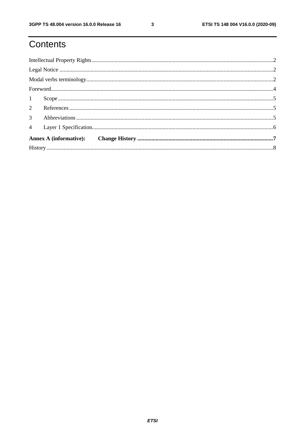# Contents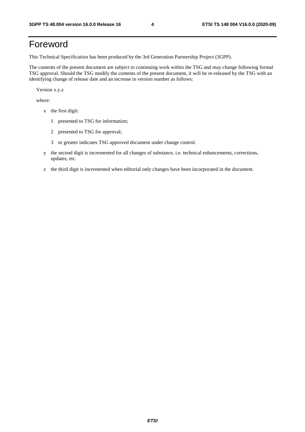## Foreword

This Technical Specification has been produced by the 3rd Generation Partnership Project (3GPP).

The contents of the present document are subject to continuing work within the TSG and may change following formal TSG approval. Should the TSG modify the contents of the present document, it will be re-released by the TSG with an identifying change of release date and an increase in version number as follows:

Version x.y.z

where:

- x the first digit:
	- 1 presented to TSG for information;
	- 2 presented to TSG for approval;
	- 3 or greater indicates TSG approved document under change control.
- y the second digit is incremented for all changes of substance, i.e. technical enhancements, corrections, updates, etc.
- z the third digit is incremented when editorial only changes have been incorporated in the document.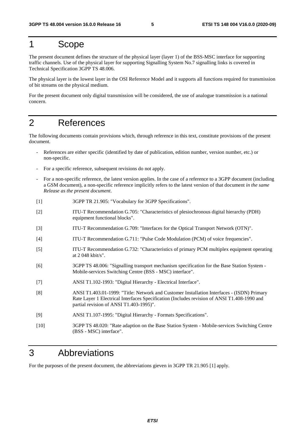#### 1 Scope

The present document defines the structure of the physical layer (layer 1) of the BSS-MSC interface for supporting traffic channels. Use of the physical layer for supporting Signalling System No.7 signalling links is covered in Technical Specification 3GPP TS 48.006.

The physical layer is the lowest layer in the OSI Reference Model and it supports all functions required for transmission of bit streams on the physical medium.

For the present document only digital transmission will be considered, the use of analogue transmission is a national concern.

### 2 References

The following documents contain provisions which, through reference in this text, constitute provisions of the present document.

- References are either specific (identified by date of publication, edition number, version number, etc.) or non-specific.
- For a specific reference, subsequent revisions do not apply.
- For a non-specific reference, the latest version applies. In the case of a reference to a 3GPP document (including a GSM document), a non-specific reference implicitly refers to the latest version of that document *in the same Release as the present document*.
- [1] 3GPP TR 21.905: "Vocabulary for 3GPP Specifications".
- [2] ITU-T Recommendation G.705: "Characteristics of plesiochronous digital hierarchy (PDH) equipment functional blocks".
- [3] ITU-T Recommendation G.709: "Interfaces for the Optical Transport Network (OTN)".
- [4] ITU-T Recommendation G.711: "Pulse Code Modulation (PCM) of voice frequencies".
- [5] ITU-T Recommendation G.732: "Characteristics of primary PCM multiplex equipment operating at 2 048 kbit/s".
- [6] 3GPP TS 48.006: "Signalling transport mechanism specification for the Base Station System Mobile-services Switching Centre (BSS - MSC) interface".
- [7] ANSI T1.102-1993: "Digital Hierarchy Electrical Interface".
- [8] ANSI T1.403.01-1999: "Title: Network and Customer Installation Interfaces (ISDN) Primary Rate Layer 1 Electrical Interfaces Specification (Includes revision of ANSI T1.408-1990 and partial revision of ANSI T1.403-1995)".
- [9] ANSI T1.107-1995: "Digital Hierarchy Formats Specifications".
- [10] 3GPP TS 48.020: "Rate adaption on the Base Station System Mobile-services Switching Centre (BSS - MSC) interface".

#### 3 Abbreviations

For the purposes of the present document, the abbreviations gieven in 3GPP TR 21.905 [1] apply.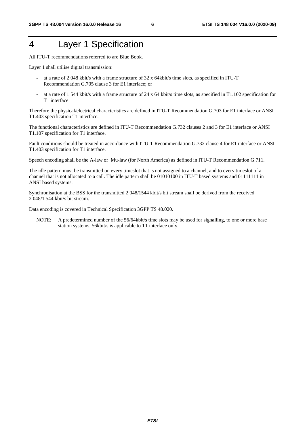### 4 Layer 1 Specification

All ITU-T recommendations referred to are Blue Book.

Layer 1 shall utilise digital transmission:

- at a rate of 2 048 kbit/s with a frame structure of 32 x 64kbit/s time slots, as specified in ITU-T Recommendation G.705 clause 3 for E1 interface; or
- at a rate of 1 544 kbit/s with a frame structure of 24 x 64 kbit/s time slots, as specified in T1.102 specification for T1 interface.

Therefore the physical/electrical characteristics are defined in ITU-T Recommendation G.703 for E1 interface or ANSI T1.403 specification T1 interface.

The functional characteristics are defined in ITU-T Recommendation G.732 clauses 2 and 3 for E1 interface or ANSI T1.107 specification for T1 interface.

Fault conditions should be treated in accordance with ITU-T Recommendation G.732 clause 4 for E1 interface or ANSI T1.403 specification for T1 interface.

Speech encoding shall be the A-law or Mu-law (for North America) as defined in ITU-T Recommendation G.711.

The idle pattern must be transmitted on every timeslot that is not assigned to a channel, and to every timeslot of a channel that is not allocated to a call. The idle pattern shall be 01010100 in ITU-T based systems and 01111111 in ANSI based systems.

Synchronisation at the BSS for the transmitted 2 048/1544 kbit/s bit stream shall be derived from the received 2 048/1 544 kbit/s bit stream.

Data encoding is covered in Technical Specification 3GPP TS 48.020.

NOTE: A predetermined number of the 56/64kbit/s time slots may be used for signalling, to one or more base station systems. 56kbit/s is applicable to T1 interface only.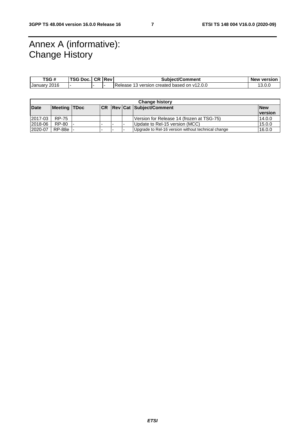### Annex A (informative): Change History

| TSG #        | TCAB<br>Doc.<br>فا 3 | ⊥ CR | <b>IRev</b> | Subiect/Comment                                   | <b>New version</b> |
|--------------|----------------------|------|-------------|---------------------------------------------------|--------------------|
| January 2016 |                      |      |             | 13 version created based on y12.0.0<br>Release 13 | l3.0.C             |

| <b>Change history</b> |              |  |  |  |  |                                                    |                |
|-----------------------|--------------|--|--|--|--|----------------------------------------------------|----------------|
| <b>Date</b>           | Meeting TDoc |  |  |  |  | <b>CR Rev Cat Subject/Comment</b>                  | <b>New</b>     |
|                       |              |  |  |  |  |                                                    | <b>version</b> |
| 2017-03               | <b>RP-75</b> |  |  |  |  | Version for Release 14 (frozen at TSG-75)          | 14.0.0         |
| 2018-06               | RP-80        |  |  |  |  | Update to Rel-15 version (MCC)                     | 15.0.0         |
| 2020-07               | RP-88e -     |  |  |  |  | Upgrade to Rel-16 version without technical change | 16.0.0         |